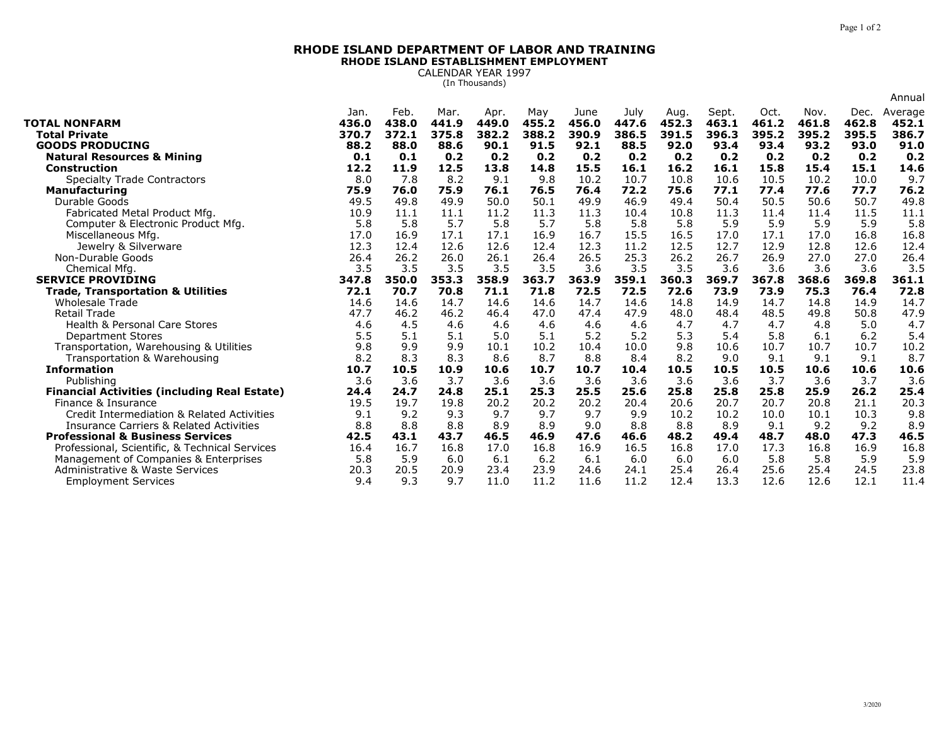## **RHODE ISLAND DEPARTMENT OF LABOR AND TRAININGRHODE ISLAND ESTABLISHMENT EMPLOYMENT**

CALENDAR YEAR 1997 (In Thousands)

|                                                     |       |       |       |       |       |       |       |       |       |       |       |       | Annual  |
|-----------------------------------------------------|-------|-------|-------|-------|-------|-------|-------|-------|-------|-------|-------|-------|---------|
|                                                     | Jan.  | Feb.  | Mar.  | Apr.  | May   | June  | July  | Aug.  | Sept. | Oct.  | Nov.  | Dec.  | Average |
| <b>TOTAL NONFARM</b>                                | 436.0 | 438.0 | 441.9 | 449.0 | 455.2 | 456.0 | 447.6 | 452.3 | 463.1 | 461.2 | 461.8 | 462.8 | 452.1   |
| <b>Total Private</b>                                | 370.7 | 372.1 | 375.8 | 382.2 | 388.2 | 390.9 | 386.5 | 391.5 | 396.3 | 395.2 | 395.2 | 395.5 | 386.7   |
| <b>GOODS PRODUCING</b>                              | 88.2  | 88.0  | 88.6  | 90.1  | 91.5  | 92.1  | 88.5  | 92.0  | 93.4  | 93.4  | 93.2  | 93.0  | 91.0    |
| <b>Natural Resources &amp; Mining</b>               | 0.1   | 0.1   | 0.2   | 0.2   | 0.2   | 0.2   | 0.2   | 0.2   | 0.2   | 0.2   | 0.2   | 0.2   | 0.2     |
| <b>Construction</b>                                 | 12.2  | 11.9  | 12.5  | 13.8  | 14.8  | 15.5  | 16.1  | 16.2  | 16.1  | 15.8  | 15.4  | 15.1  | 14.6    |
| <b>Specialty Trade Contractors</b>                  | 8.0   | 7.8   | 8.2   | 9.1   | 9.8   | 10.2  | 10.7  | 10.8  | 10.6  | 10.5  | 10.2  | 10.0  | 9.7     |
| <b>Manufacturing</b>                                | 75.9  | 76.0  | 75.9  | 76.1  | 76.5  | 76.4  | 72.2  | 75.6  | 77.1  | 77.4  | 77.6  | 77.7  | 76.2    |
| Durable Goods                                       | 49.5  | 49.8  | 49.9  | 50.0  | 50.1  | 49.9  | 46.9  | 49.4  | 50.4  | 50.5  | 50.6  | 50.7  | 49.8    |
| Fabricated Metal Product Mfg.                       | 10.9  | 11.1  | 11.1  | 11.2  | 11.3  | 11.3  | 10.4  | 10.8  | 11.3  | 11.4  | 11.4  | 11.5  | 11.1    |
| Computer & Electronic Product Mfg.                  | 5.8   | 5.8   | 5.7   | 5.8   | 5.7   | 5.8   | 5.8   | 5.8   | 5.9   | 5.9   | 5.9   | 5.9   | 5.8     |
| Miscellaneous Mfg.                                  | 17.0  | 16.9  | 17.1  | 17.1  | 16.9  | 16.7  | 15.5  | 16.5  | 17.0  | 17.1  | 17.0  | 16.8  | 16.8    |
| Jewelry & Silverware                                | 12.3  | 12.4  | 12.6  | 12.6  | 12.4  | 12.3  | 11.2  | 12.5  | 12.7  | 12.9  | 12.8  | 12.6  | 12.4    |
| Non-Durable Goods                                   | 26.4  | 26.2  | 26.0  | 26.1  | 26.4  | 26.5  | 25.3  | 26.2  | 26.7  | 26.9  | 27.0  | 27.0  | 26.4    |
| Chemical Mfg                                        | 3.5   | 3.5   | 3.5   | 3.5   | 3.5   | 3.6   | 3.5   | 3.5   | 3.6   | 3.6   | 3.6   | 3.6   | 3.5     |
| <b>SERVICE PROVIDING</b>                            | 347.8 | 350.0 | 353.3 | 358.9 | 363.7 | 363.9 | 359.1 | 360.3 | 369.7 | 367.8 | 368.6 | 369.8 | 361.1   |
| <b>Trade, Transportation &amp; Utilities</b>        | 72.1  | 70.7  | 70.8  | 71.1  | 71.8  | 72.5  | 72.5  | 72.6  | 73.9  | 73.9  | 75.3  | 76.4  | 72.8    |
| <b>Wholesale Trade</b>                              | 14.6  | 14.6  | 14.7  | 14.6  | 14.6  | 14.7  | 14.6  | 14.8  | 14.9  | 14.7  | 14.8  | 14.9  | 14.7    |
| <b>Retail Trade</b>                                 | 47.7  | 46.2  | 46.2  | 46.4  | 47.0  | 47.4  | 47.9  | 48.0  | 48.4  | 48.5  | 49.8  | 50.8  | 47.9    |
| <b>Health &amp; Personal Care Stores</b>            | 4.6   | 4.5   | 4.6   | 4.6   | 4.6   | 4.6   | 4.6   | 4.7   | 4.7   | 4.7   | 4.8   | 5.0   | 4.7     |
| <b>Department Stores</b>                            | 5.5   | 5.1   | 5.1   | 5.0   | 5.1   | 5.2   | 5.2   | 5.3   | 5.4   | 5.8   | 6.1   | 6.2   | 5.4     |
| Transportation, Warehousing & Utilities             | 9.8   | 9.9   | 9.9   | 10.1  | 10.2  | 10.4  | 10.0  | 9.8   | 10.6  | 10.7  | 10.7  | 10.7  | 10.2    |
| Transportation & Warehousing                        | 8.2   | 8.3   | 8.3   | 8.6   | 8.7   | 8.8   | 8.4   | 8.2   | 9.0   | 9.1   | 9.1   | 9.1   | 8.7     |
| <b>Information</b>                                  | 10.7  | 10.5  | 10.9  | 10.6  | 10.7  | 10.7  | 10.4  | 10.5  | 10.5  | 10.5  | 10.6  | 10.6  | 10.6    |
| Publishing                                          | 3.6   | 3.6   | 3.7   | 3.6   | 3.6   | 3.6   | 3.6   | 3.6   | 3.6   | 3.7   | 3.6   | 3.7   | 3.6     |
| <b>Financial Activities (including Real Estate)</b> | 24.4  | 24.7  | 24.8  | 25.1  | 25.3  | 25.5  | 25.6  | 25.8  | 25.8  | 25.8  | 25.9  | 26.2  | 25.4    |
| Finance & Insurance                                 | 19.5  | 19.7  | 19.8  | 20.2  | 20.2  | 20.2  | 20.4  | 20.6  | 20.7  | 20.7  | 20.8  | 21.1  | 20.3    |
| Credit Intermediation & Related Activities          | 9.1   | 9.2   | 9.3   | 9.7   | 9.7   | 9.7   | 9.9   | 10.2  | 10.2  | 10.0  | 10.1  | 10.3  | 9.8     |
| <b>Insurance Carriers &amp; Related Activities</b>  | 8.8   | 8.8   | 8.8   | 8.9   | 8.9   | 9.0   | 8.8   | 8.8   | 8.9   | 9.1   | 9.2   | 9.2   | 8.9     |
| <b>Professional &amp; Business Services</b>         | 42.5  | 43.1  | 43.7  | 46.5  | 46.9  | 47.6  | 46.6  | 48.2  | 49.4  | 48.7  | 48.0  | 47.3  | 46.5    |
| Professional, Scientific, & Technical Services      | 16.4  | 16.7  | 16.8  | 17.0  | 16.8  | 16.9  | 16.5  | 16.8  | 17.0  | 17.3  | 16.8  | 16.9  | 16.8    |
| Management of Companies & Enterprises               | 5.8   | 5.9   | 6.0   | 6.1   | 6.2   | 6.1   | 6.0   | 6.0   | 6.0   | 5.8   | 5.8   | 5.9   | 5.9     |
| Administrative & Waste Services                     | 20.3  | 20.5  | 20.9  | 23.4  | 23.9  | 24.6  | 24.1  | 25.4  | 26.4  | 25.6  | 25.4  | 24.5  | 23.8    |
| <b>Employment Services</b>                          | 9.4   | 9.3   | 9.7   | 11.0  | 11.2  | 11.6  | 11.2  | 12.4  | 13.3  | 12.6  | 12.6  | 12.1  | 11.4    |